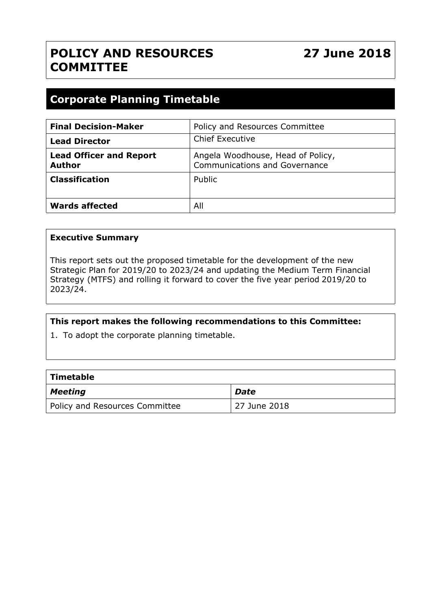# **POLICY AND RESOURCES COMMITTEE**

# **Corporate Planning Timetable**

| <b>Final Decision-Maker</b>                     | Policy and Resources Committee                                            |
|-------------------------------------------------|---------------------------------------------------------------------------|
| <b>Lead Director</b>                            | <b>Chief Executive</b>                                                    |
| <b>Lead Officer and Report</b><br><b>Author</b> | Angela Woodhouse, Head of Policy,<br><b>Communications and Governance</b> |
| <b>Classification</b>                           | Public                                                                    |
| <b>Wards affected</b>                           | All                                                                       |

#### **Executive Summary**

This report sets out the proposed timetable for the development of the new Strategic Plan for 2019/20 to 2023/24 and updating the Medium Term Financial Strategy (MTFS) and rolling it forward to cover the five year period 2019/20 to 2023/24.

#### **This report makes the following recommendations to this Committee:**

1. To adopt the corporate planning timetable.

| $\mid$ Timetable               |              |  |  |  |  |
|--------------------------------|--------------|--|--|--|--|
| $\vert$ Meeting                | <b>Date</b>  |  |  |  |  |
| Policy and Resources Committee | 27 June 2018 |  |  |  |  |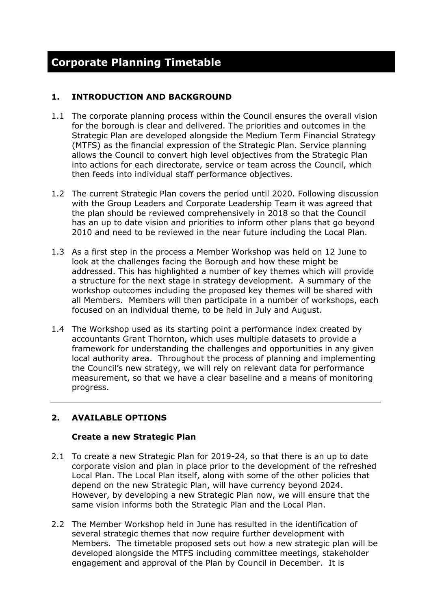# **1. INTRODUCTION AND BACKGROUND**

- 1.1 The corporate planning process within the Council ensures the overall vision for the borough is clear and delivered. The priorities and outcomes in the Strategic Plan are developed alongside the Medium Term Financial Strategy (MTFS) as the financial expression of the Strategic Plan. Service planning allows the Council to convert high level objectives from the Strategic Plan into actions for each directorate, service or team across the Council, which then feeds into individual staff performance objectives.
- 1.2 The current Strategic Plan covers the period until 2020. Following discussion with the Group Leaders and Corporate Leadership Team it was agreed that the plan should be reviewed comprehensively in 2018 so that the Council has an up to date vision and priorities to inform other plans that go beyond 2010 and need to be reviewed in the near future including the Local Plan.
- 1.3 As a first step in the process a Member Workshop was held on 12 June to look at the challenges facing the Borough and how these might be addressed. This has highlighted a number of key themes which will provide a structure for the next stage in strategy development. A summary of the workshop outcomes including the proposed key themes will be shared with all Members. Members will then participate in a number of workshops, each focused on an individual theme, to be held in July and August.
- 1.4 The Workshop used as its starting point a performance index created by accountants Grant Thornton, which uses multiple datasets to provide a framework for understanding the challenges and opportunities in any given local authority area. Throughout the process of planning and implementing the Council's new strategy, we will rely on relevant data for performance measurement, so that we have a clear baseline and a means of monitoring progress.

# **2. AVAILABLE OPTIONS**

#### **Create a new Strategic Plan**

- 2.1 To create a new Strategic Plan for 2019-24, so that there is an up to date corporate vision and plan in place prior to the development of the refreshed Local Plan. The Local Plan itself, along with some of the other policies that depend on the new Strategic Plan, will have currency beyond 2024. However, by developing a new Strategic Plan now, we will ensure that the same vision informs both the Strategic Plan and the Local Plan.
- 2.2 The Member Workshop held in June has resulted in the identification of several strategic themes that now require further development with Members. The timetable proposed sets out how a new strategic plan will be developed alongside the MTFS including committee meetings, stakeholder engagement and approval of the Plan by Council in December. It is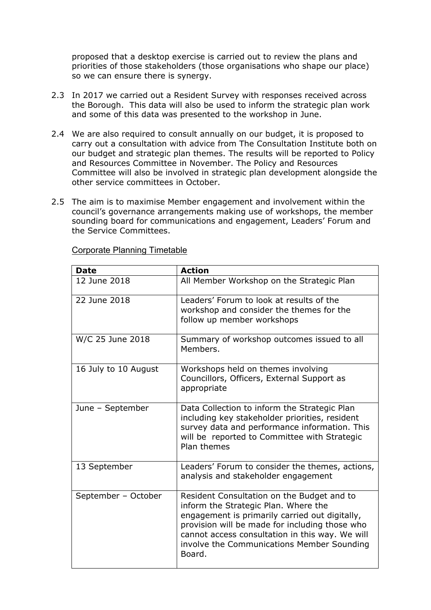proposed that a desktop exercise is carried out to review the plans and priorities of those stakeholders (those organisations who shape our place) so we can ensure there is synergy.

- 2.3 In 2017 we carried out a Resident Survey with responses received across the Borough. This data will also be used to inform the strategic plan work and some of this data was presented to the workshop in June.
- 2.4 We are also required to consult annually on our budget, it is proposed to carry out a consultation with advice from The Consultation Institute both on our budget and strategic plan themes. The results will be reported to Policy and Resources Committee in November. The Policy and Resources Committee will also be involved in strategic plan development alongside the other service committees in October.
- 2.5 The aim is to maximise Member engagement and involvement within the council's governance arrangements making use of workshops, the member sounding board for communications and engagement, Leaders' Forum and the Service Committees.

| <b>Date</b>          | <b>Action</b>                                                                                                                                                                                                                                                                                     |
|----------------------|---------------------------------------------------------------------------------------------------------------------------------------------------------------------------------------------------------------------------------------------------------------------------------------------------|
| 12 June 2018         | All Member Workshop on the Strategic Plan                                                                                                                                                                                                                                                         |
| 22 June 2018         | Leaders' Forum to look at results of the<br>workshop and consider the themes for the<br>follow up member workshops                                                                                                                                                                                |
| W/C 25 June 2018     | Summary of workshop outcomes issued to all<br>Members.                                                                                                                                                                                                                                            |
| 16 July to 10 August | Workshops held on themes involving<br>Councillors, Officers, External Support as<br>appropriate                                                                                                                                                                                                   |
| June - September     | Data Collection to inform the Strategic Plan<br>including key stakeholder priorities, resident<br>survey data and performance information. This<br>will be reported to Committee with Strategic<br>Plan themes                                                                                    |
| 13 September         | Leaders' Forum to consider the themes, actions,<br>analysis and stakeholder engagement                                                                                                                                                                                                            |
| September - October  | Resident Consultation on the Budget and to<br>inform the Strategic Plan. Where the<br>engagement is primarily carried out digitally,<br>provision will be made for including those who<br>cannot access consultation in this way. We will<br>involve the Communications Member Sounding<br>Board. |

Corporate Planning Timetable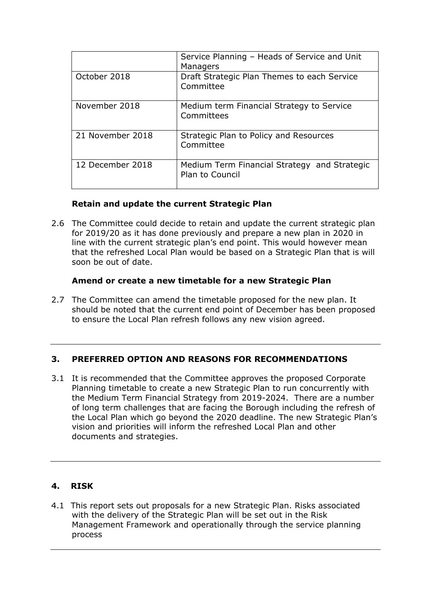|                  | Service Planning - Heads of Service and Unit<br>Managers        |
|------------------|-----------------------------------------------------------------|
| October 2018     | Draft Strategic Plan Themes to each Service<br>Committee        |
| November 2018    | Medium term Financial Strategy to Service<br>Committees         |
| 21 November 2018 | Strategic Plan to Policy and Resources<br>Committee             |
| 12 December 2018 | Medium Term Financial Strategy and Strategic<br>Plan to Council |

# **Retain and update the current Strategic Plan**

2.6 The Committee could decide to retain and update the current strategic plan for 2019/20 as it has done previously and prepare a new plan in 2020 in line with the current strategic plan's end point. This would however mean that the refreshed Local Plan would be based on a Strategic Plan that is will soon be out of date.

#### **Amend or create a new timetable for a new Strategic Plan**

2.7 The Committee can amend the timetable proposed for the new plan. It should be noted that the current end point of December has been proposed to ensure the Local Plan refresh follows any new vision agreed.

#### **3. PREFERRED OPTION AND REASONS FOR RECOMMENDATIONS**

3.1 It is recommended that the Committee approves the proposed Corporate Planning timetable to create a new Strategic Plan to run concurrently with the Medium Term Financial Strategy from 2019-2024. There are a number of long term challenges that are facing the Borough including the refresh of the Local Plan which go beyond the 2020 deadline. The new Strategic Plan's vision and priorities will inform the refreshed Local Plan and other documents and strategies.

# **4. RISK**

4.1 This report sets out proposals for a new Strategic Plan. Risks associated with the delivery of the Strategic Plan will be set out in the Risk Management Framework and operationally through the service planning process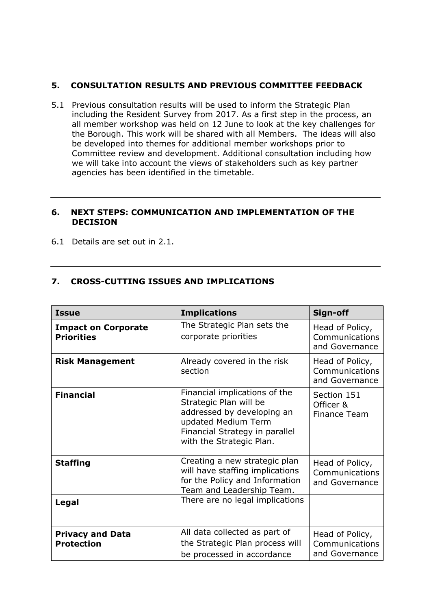### **5. CONSULTATION RESULTS AND PREVIOUS COMMITTEE FEEDBACK**

5.1 Previous consultation results will be used to inform the Strategic Plan including the Resident Survey from 2017. As a first step in the process, an all member workshop was held on 12 June to look at the key challenges for the Borough. This work will be shared with all Members. The ideas will also be developed into themes for additional member workshops prior to Committee review and development. Additional consultation including how we will take into account the views of stakeholders such as key partner agencies has been identified in the timetable.

#### **6. NEXT STEPS: COMMUNICATION AND IMPLEMENTATION OF THE DECISION**

6.1 Details are set out in 2.1.

# **7. CROSS-CUTTING ISSUES AND IMPLICATIONS**

| <b>Issue</b>                                    | <b>Implications</b>                                                                                                                                                        | Sign-off                                            |
|-------------------------------------------------|----------------------------------------------------------------------------------------------------------------------------------------------------------------------------|-----------------------------------------------------|
| <b>Impact on Corporate</b><br><b>Priorities</b> | The Strategic Plan sets the<br>corporate priorities                                                                                                                        | Head of Policy,<br>Communications<br>and Governance |
| <b>Risk Management</b>                          | Already covered in the risk<br>section                                                                                                                                     | Head of Policy,<br>Communications<br>and Governance |
| <b>Financial</b>                                | Financial implications of the<br>Strategic Plan will be<br>addressed by developing an<br>updated Medium Term<br>Financial Strategy in parallel<br>with the Strategic Plan. | Section 151<br>Officer &<br><b>Finance Team</b>     |
| <b>Staffing</b>                                 | Creating a new strategic plan<br>will have staffing implications<br>for the Policy and Information<br>Team and Leadership Team.                                            | Head of Policy,<br>Communications<br>and Governance |
| Legal                                           | There are no legal implications                                                                                                                                            |                                                     |
| <b>Privacy and Data</b><br><b>Protection</b>    | All data collected as part of<br>the Strategic Plan process will<br>be processed in accordance                                                                             | Head of Policy,<br>Communications<br>and Governance |